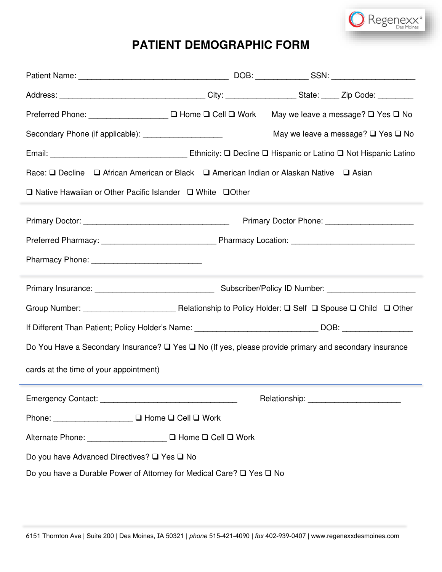

## **PATIENT DEMOGRAPHIC FORM**

| Preferred Phone: _________________ □ Home □ Cell □ Work                                                               |  |  | May we leave a message? $\square$ Yes $\square$ No |  |  |  |  |  |
|-----------------------------------------------------------------------------------------------------------------------|--|--|----------------------------------------------------|--|--|--|--|--|
| Secondary Phone (if applicable): ____________________                                                                 |  |  | May we leave a message? $\square$ Yes $\square$ No |  |  |  |  |  |
|                                                                                                                       |  |  |                                                    |  |  |  |  |  |
| Race: □ Decline □ African American or Black □ American Indian or Alaskan Native □ Asian                               |  |  |                                                    |  |  |  |  |  |
| $\Box$ Native Hawaiian or Other Pacific Islander $\Box$ White $\Box$ Other                                            |  |  |                                                    |  |  |  |  |  |
|                                                                                                                       |  |  |                                                    |  |  |  |  |  |
|                                                                                                                       |  |  |                                                    |  |  |  |  |  |
|                                                                                                                       |  |  |                                                    |  |  |  |  |  |
|                                                                                                                       |  |  |                                                    |  |  |  |  |  |
|                                                                                                                       |  |  |                                                    |  |  |  |  |  |
| If Different Than Patient; Policy Holder's Name: _________________________________DOB: ______________________         |  |  |                                                    |  |  |  |  |  |
| Do You Have a Secondary Insurance? $\square$ Yes $\square$ No (If yes, please provide primary and secondary insurance |  |  |                                                    |  |  |  |  |  |
| cards at the time of your appointment)                                                                                |  |  |                                                    |  |  |  |  |  |
|                                                                                                                       |  |  |                                                    |  |  |  |  |  |
| Phone: _________________ □ Home □ Cell □ Work                                                                         |  |  |                                                    |  |  |  |  |  |
| Alternate Phone: ___________________ □ Home □ Cell □ Work                                                             |  |  |                                                    |  |  |  |  |  |
| Do you have Advanced Directives? □ Yes □ No                                                                           |  |  |                                                    |  |  |  |  |  |
| Do you have a Durable Power of Attorney for Medical Care? □ Yes □ No                                                  |  |  |                                                    |  |  |  |  |  |

t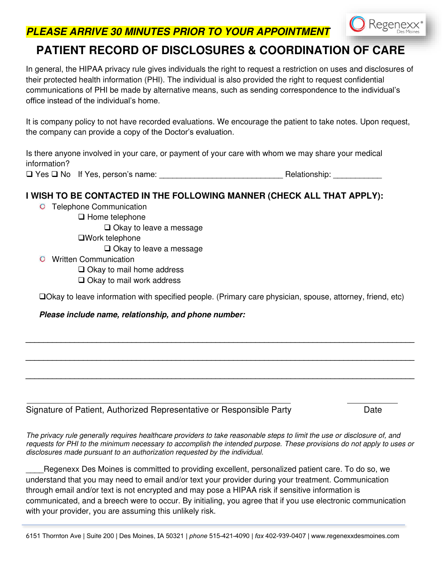**PLEASE ARRIVE 30 MINUTES PRIOR TO YOUR APPOINTMENT**

## **PATIENT RECORD OF DISCLOSURES & COORDINATION OF CARE**

In general, the HIPAA privacy rule gives individuals the right to request a restriction on uses and disclosures of their protected health information (PHI). The individual is also provided the right to request confidential communications of PHI be made by alternative means, such as sending correspondence to the individual's office instead of the individual's home.

It is company policy to not have recorded evaluations. We encourage the patient to take notes. Upon request, the company can provide a copy of the Doctor's evaluation.

Is there anyone involved in your care, or payment of your care with whom we may share your medical information?

❑ Yes ❑ No If Yes, person's name: \_\_\_\_\_\_\_\_\_\_\_\_\_\_\_\_\_\_\_\_\_\_\_\_\_\_\_\_ Relationship: \_\_\_\_\_\_\_\_\_\_\_

#### **I WISH TO BE CONTACTED IN THE FOLLOWING MANNER (CHECK ALL THAT APPLY):**

- **O** Telephone Communication
	- ❑ Home telephone

❑ Okay to leave a message

❑Work telephone

❑ Okay to leave a message

Written Communication

❑ Okay to mail home address

❑ Okay to mail work address

❑Okay to leave information with specified people. (Primary care physician, spouse, attorney, friend, etc)

**\_\_\_\_\_\_\_\_\_\_\_\_\_\_\_\_\_\_\_\_\_\_\_\_\_\_\_\_\_\_\_\_\_\_\_\_\_\_\_\_\_\_\_\_\_\_\_\_\_\_\_\_\_\_\_\_\_\_\_\_\_\_\_\_\_\_\_\_\_\_\_\_\_\_\_\_\_\_\_\_\_\_\_\_\_\_\_\_**

**\_\_\_\_\_\_\_\_\_\_\_\_\_\_\_\_\_\_\_\_\_\_\_\_\_\_\_\_\_\_\_\_\_\_\_\_\_\_\_\_\_\_\_\_\_\_\_\_\_\_\_\_\_\_\_\_\_\_\_\_\_\_\_\_\_\_\_\_\_\_\_\_\_\_\_\_\_\_\_\_\_\_\_\_\_\_\_\_**

**\_\_\_\_\_\_\_\_\_\_\_\_\_\_\_\_\_\_\_\_\_\_\_\_\_\_\_\_\_\_\_\_\_\_\_\_\_\_\_\_\_\_\_\_\_\_\_\_\_\_\_\_\_\_\_\_\_\_\_\_\_\_\_\_\_\_\_\_\_\_\_\_\_\_\_\_\_\_\_\_\_\_\_\_\_\_\_\_**

#### **Please include name, relationship, and phone number:**

| Signature of Patient, Authorized Representative or Responsible Party | Date |
|----------------------------------------------------------------------|------|

Regenexx

The privacy rule generally requires healthcare providers to take reasonable steps to limit the use or disclosure of, and requests for PHI to the minimum necessary to accomplish the intended purpose. These provisions do not apply to uses or disclosures made pursuant to an authorization requested by the individual.

\_\_\_\_Regenexx Des Moines is committed to providing excellent, personalized patient care. To do so, we understand that you may need to email and/or text your provider during your treatment. Communication through email and/or text is not encrypted and may pose a HIPAA risk if sensitive information is communicated, and a breech were to occur. By initialing, you agree that if you use electronic communication with your provider, you are assuming this unlikely risk.

6151 Thornton Ave | Suite 200 | Des Moines, IA 50321 *| phone* 515-421-4090 | *fax* 402-939-0407 | www.regenexxdesmoines.com